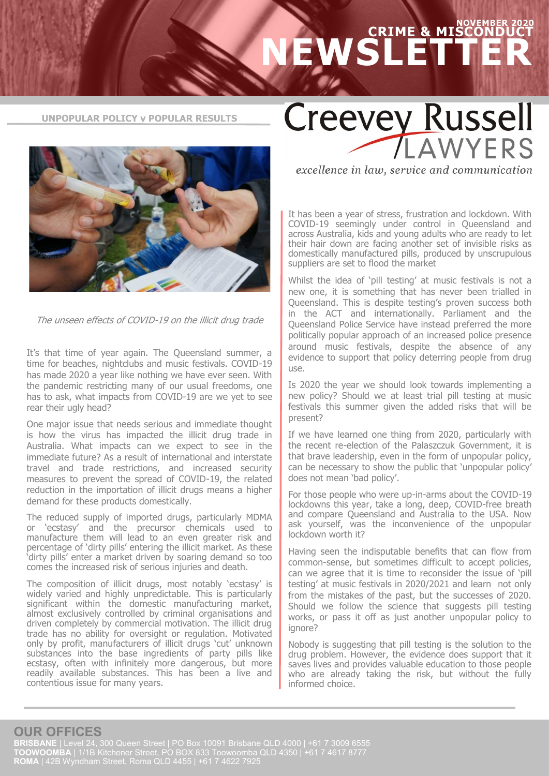## **NOVEMBER 2020 CRIME & MISCONDUCT NEWSLETTER**

**UNPOPULAR POLICY v POPULAR RESULTS**



The unseen effects of COVID-19 on the illicit drug trade

It's that time of year again. The Queensland summer, a time for beaches, nightclubs and music festivals. COVID-19 has made 2020 a year like nothing we have ever seen. With the pandemic restricting many of our usual freedoms, one has to ask, what impacts from COVID-19 are we yet to see rear their ugly head?

One major issue that needs serious and immediate thought is how the virus has impacted the illicit drug trade in Australia. What impacts can we expect to see in the immediate future? As a result of international and interstate travel and trade restrictions, and increased security measures to prevent the spread of COVID-19, the related reduction in the importation of illicit drugs means a higher demand for these products domestically.

The reduced supply of imported drugs, particularly MDMA or 'ecstasy' and the precursor chemicals used to manufacture them will lead to an even greater risk and percentage of 'dirty pills' entering the illicit market. As these 'dirty pills' enter a market driven by soaring demand so too comes the increased risk of serious injuries and death.

The composition of illicit drugs, most notably 'ecstasy' is widely varied and highly unpredictable. This is particularly significant within the domestic manufacturing market, almost exclusively controlled by criminal organisations and driven completely by commercial motivation. The illicit drug trade has no ability for oversight or regulation. Motivated only by profit, manufacturers of illicit drugs 'cut' unknown substances into the base ingredients of party pills like ecstasy, often with infinitely more dangerous, but more readily available substances. This has been a live and contentious issue for many years.

**Creevey Russell** AWYERS

excellence in law, service and communication

It has been a year of stress, frustration and lockdown. With COVID-19 seemingly under control in Queensland and across Australia, kids and young adults who are ready to let their hair down are facing another set of invisible risks as domestically manufactured pills, produced by unscrupulous suppliers are set to flood the market

Whilst the idea of 'pill testing' at music festivals is not a new one, it is something that has never been trialled in Queensland. This is despite testing's proven success both in the ACT and internationally. Parliament and the Queensland Police Service have instead preferred the more politically popular approach of an increased police presence around music festivals, despite the absence of any evidence to support that policy deterring people from drug use.

Is 2020 the year we should look towards implementing a new policy? Should we at least trial pill testing at music festivals this summer given the added risks that will be present?

If we have learned one thing from 2020, particularly with the recent re-election of the Palaszczuk Government, it is that brave leadership, even in the form of unpopular policy, can be necessary to show the public that 'unpopular policy' does not mean 'bad policy'.

For those people who were up-in-arms about the COVID-19 lockdowns this year, take a long, deep, COVID-free breath and compare Queensland and Australia to the USA. Now ask yourself, was the inconvenience of the unpopular lockdown worth it?

Having seen the indisputable benefits that can flow from common-sense, but sometimes difficult to accept policies, can we agree that it is time to reconsider the issue of 'pill testing' at music festivals in 2020/2021 and learn not only from the mistakes of the past, but the successes of 2020. Should we follow the science that suggests pill testing works, or pass it off as just another unpopular policy to ignore?

Nobody is suggesting that pill testing is the solution to the drug problem. However, the evidence does support that it saves lives and provides valuable education to those people who are already taking the risk, but without the fully informed choice.

## **OUR OFFICES**

**BRISBANE** | Level 24, 300 Queen Street | PO Box 10091 Brisbane QLD 4000 | +61 7 3009 6555 **TOOWOOMBA** | 1/1B Kitchener Street, PO BOX 833 Toowoomba QLD 4350 | +61 7 4617 8777 **ROMA** | 42B Wyndham Street, Roma QLD 4455 | +61 7 4622 7925